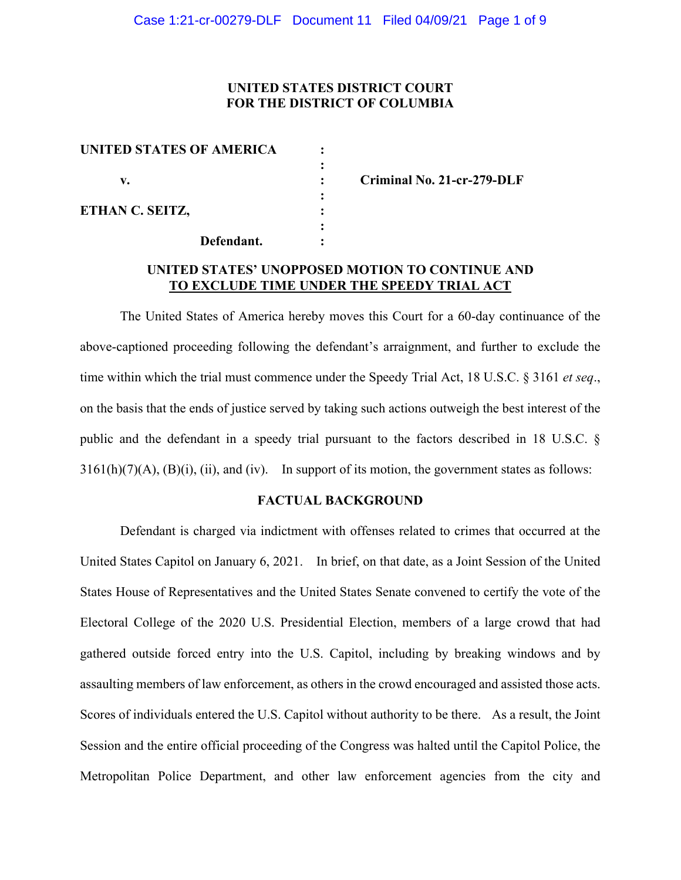# **UNITED STATES DISTRICT COURT FOR THE DISTRICT OF COLUMBIA**

| UNITED STATES OF AMERICA |            |  |
|--------------------------|------------|--|
| v.                       |            |  |
| ETHAN C. SEITZ,          |            |  |
|                          |            |  |
|                          | Defendant. |  |

**v. : Criminal No. 21-cr-279-DLF**

# **UNITED STATES' UNOPPOSED MOTION TO CONTINUE AND TO EXCLUDE TIME UNDER THE SPEEDY TRIAL ACT**

The United States of America hereby moves this Court for a 60-day continuance of the above-captioned proceeding following the defendant's arraignment, and further to exclude the time within which the trial must commence under the Speedy Trial Act, 18 U.S.C. § 3161 *et seq*., on the basis that the ends of justice served by taking such actions outweigh the best interest of the public and the defendant in a speedy trial pursuant to the factors described in 18 U.S.C. §  $3161(h)(7)(A)$ ,  $(B)(i)$ ,  $(ii)$ , and  $(iv)$ . In support of its motion, the government states as follows:

## **FACTUAL BACKGROUND**

Defendant is charged via indictment with offenses related to crimes that occurred at the United States Capitol on January 6, 2021. In brief, on that date, as a Joint Session of the United States House of Representatives and the United States Senate convened to certify the vote of the Electoral College of the 2020 U.S. Presidential Election, members of a large crowd that had gathered outside forced entry into the U.S. Capitol, including by breaking windows and by assaulting members of law enforcement, as others in the crowd encouraged and assisted those acts. Scores of individuals entered the U.S. Capitol without authority to be there. As a result, the Joint Session and the entire official proceeding of the Congress was halted until the Capitol Police, the Metropolitan Police Department, and other law enforcement agencies from the city and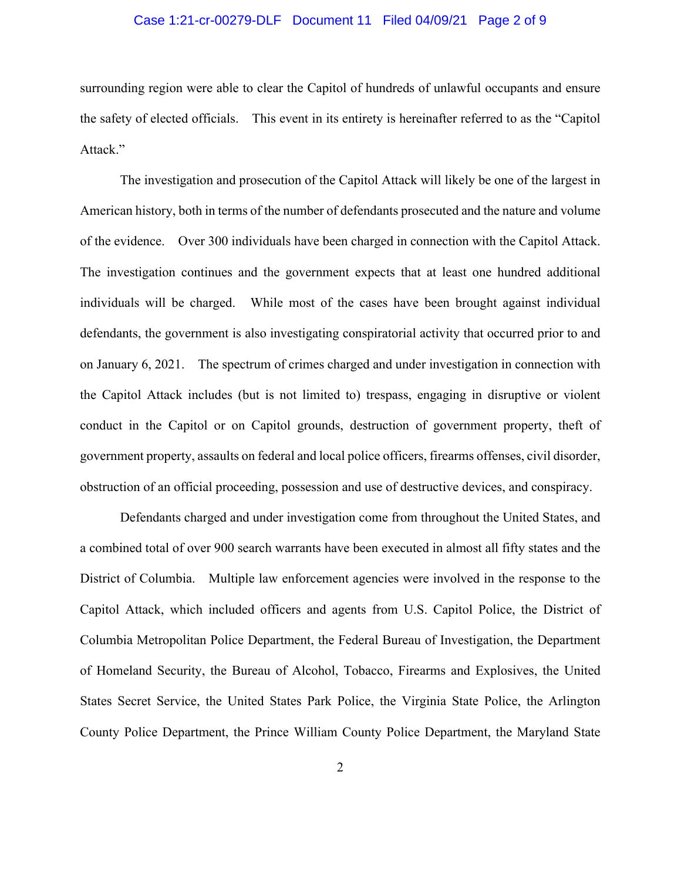### Case 1:21-cr-00279-DLF Document 11 Filed 04/09/21 Page 2 of 9

surrounding region were able to clear the Capitol of hundreds of unlawful occupants and ensure the safety of elected officials. This event in its entirety is hereinafter referred to as the "Capitol Attack."

The investigation and prosecution of the Capitol Attack will likely be one of the largest in American history, both in terms of the number of defendants prosecuted and the nature and volume of the evidence. Over 300 individuals have been charged in connection with the Capitol Attack. The investigation continues and the government expects that at least one hundred additional individuals will be charged. While most of the cases have been brought against individual defendants, the government is also investigating conspiratorial activity that occurred prior to and on January 6, 2021. The spectrum of crimes charged and under investigation in connection with the Capitol Attack includes (but is not limited to) trespass, engaging in disruptive or violent conduct in the Capitol or on Capitol grounds, destruction of government property, theft of government property, assaults on federal and local police officers, firearms offenses, civil disorder, obstruction of an official proceeding, possession and use of destructive devices, and conspiracy.

Defendants charged and under investigation come from throughout the United States, and a combined total of over 900 search warrants have been executed in almost all fifty states and the District of Columbia. Multiple law enforcement agencies were involved in the response to the Capitol Attack, which included officers and agents from U.S. Capitol Police, the District of Columbia Metropolitan Police Department, the Federal Bureau of Investigation, the Department of Homeland Security, the Bureau of Alcohol, Tobacco, Firearms and Explosives, the United States Secret Service, the United States Park Police, the Virginia State Police, the Arlington County Police Department, the Prince William County Police Department, the Maryland State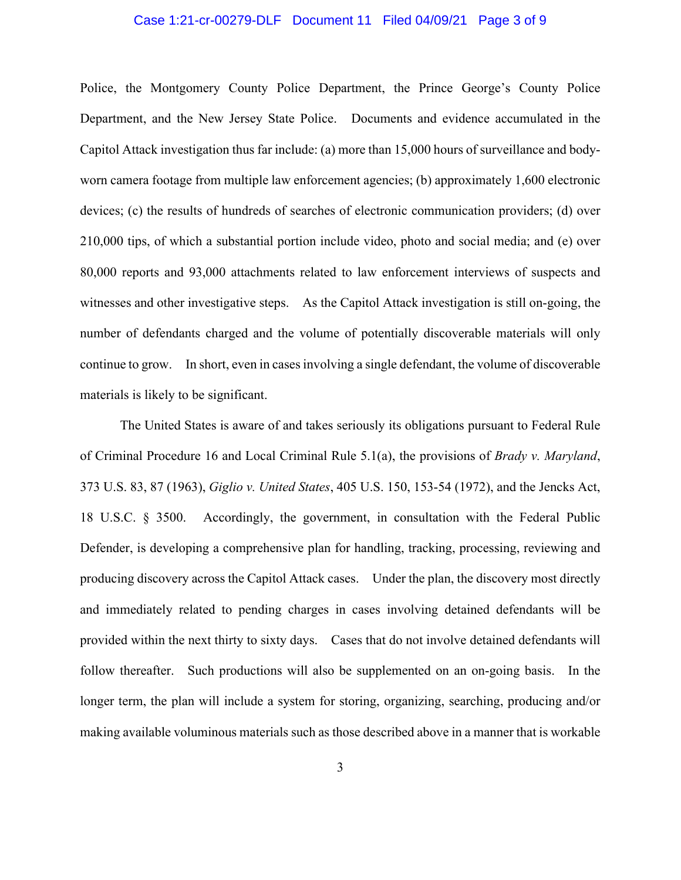#### Case 1:21-cr-00279-DLF Document 11 Filed 04/09/21 Page 3 of 9

Police, the Montgomery County Police Department, the Prince George's County Police Department, and the New Jersey State Police. Documents and evidence accumulated in the Capitol Attack investigation thus far include: (a) more than 15,000 hours of surveillance and bodyworn camera footage from multiple law enforcement agencies; (b) approximately 1,600 electronic devices; (c) the results of hundreds of searches of electronic communication providers; (d) over 210,000 tips, of which a substantial portion include video, photo and social media; and (e) over 80,000 reports and 93,000 attachments related to law enforcement interviews of suspects and witnesses and other investigative steps. As the Capitol Attack investigation is still on-going, the number of defendants charged and the volume of potentially discoverable materials will only continue to grow. In short, even in cases involving a single defendant, the volume of discoverable materials is likely to be significant.

The United States is aware of and takes seriously its obligations pursuant to Federal Rule of Criminal Procedure 16 and Local Criminal Rule 5.1(a), the provisions of *Brady v. Maryland*, 373 U.S. 83, 87 (1963), *Giglio v. United States*, 405 U.S. 150, 153-54 (1972), and the Jencks Act, 18 U.S.C. § 3500. Accordingly, the government, in consultation with the Federal Public Defender, is developing a comprehensive plan for handling, tracking, processing, reviewing and producing discovery across the Capitol Attack cases. Under the plan, the discovery most directly and immediately related to pending charges in cases involving detained defendants will be provided within the next thirty to sixty days. Cases that do not involve detained defendants will follow thereafter. Such productions will also be supplemented on an on-going basis. In the longer term, the plan will include a system for storing, organizing, searching, producing and/or making available voluminous materials such as those described above in a manner that is workable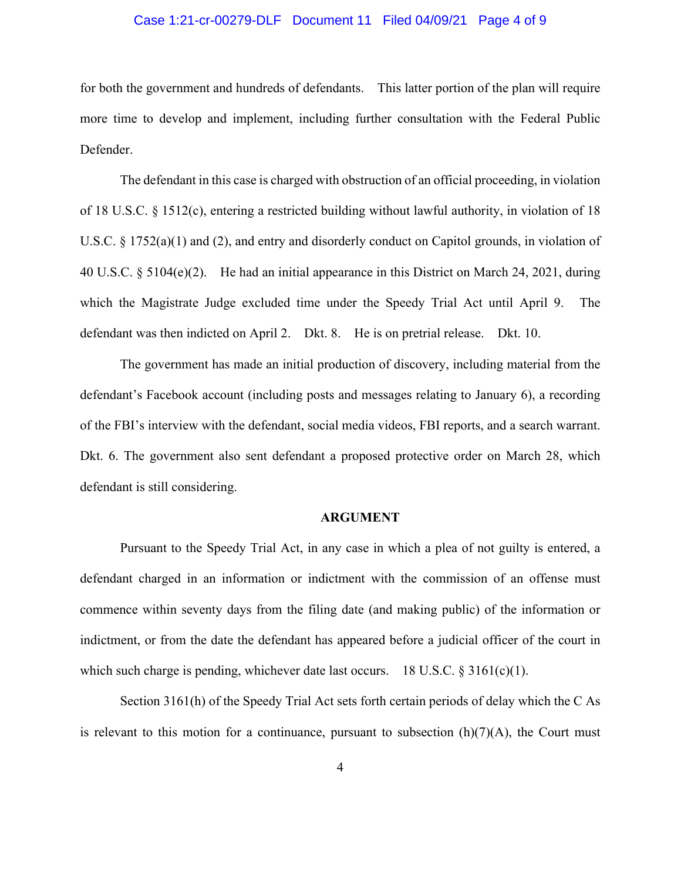### Case 1:21-cr-00279-DLF Document 11 Filed 04/09/21 Page 4 of 9

for both the government and hundreds of defendants. This latter portion of the plan will require more time to develop and implement, including further consultation with the Federal Public Defender.

The defendant in this case is charged with obstruction of an official proceeding, in violation of 18 U.S.C. § 1512(c), entering a restricted building without lawful authority, in violation of 18 U.S.C. § 1752(a)(1) and (2), and entry and disorderly conduct on Capitol grounds, in violation of 40 U.S.C. § 5104(e)(2). He had an initial appearance in this District on March 24, 2021, during which the Magistrate Judge excluded time under the Speedy Trial Act until April 9. The defendant was then indicted on April 2. Dkt. 8. He is on pretrial release. Dkt. 10.

The government has made an initial production of discovery, including material from the defendant's Facebook account (including posts and messages relating to January 6), a recording of the FBI's interview with the defendant, social media videos, FBI reports, and a search warrant. Dkt. 6. The government also sent defendant a proposed protective order on March 28, which defendant is still considering.

#### **ARGUMENT**

Pursuant to the Speedy Trial Act, in any case in which a plea of not guilty is entered, a defendant charged in an information or indictment with the commission of an offense must commence within seventy days from the filing date (and making public) of the information or indictment, or from the date the defendant has appeared before a judicial officer of the court in which such charge is pending, whichever date last occurs. 18 U.S.C.  $\S 3161(c)(1)$ .

Section 3161(h) of the Speedy Trial Act sets forth certain periods of delay which the C As is relevant to this motion for a continuance, pursuant to subsection  $(h)(7)(A)$ , the Court must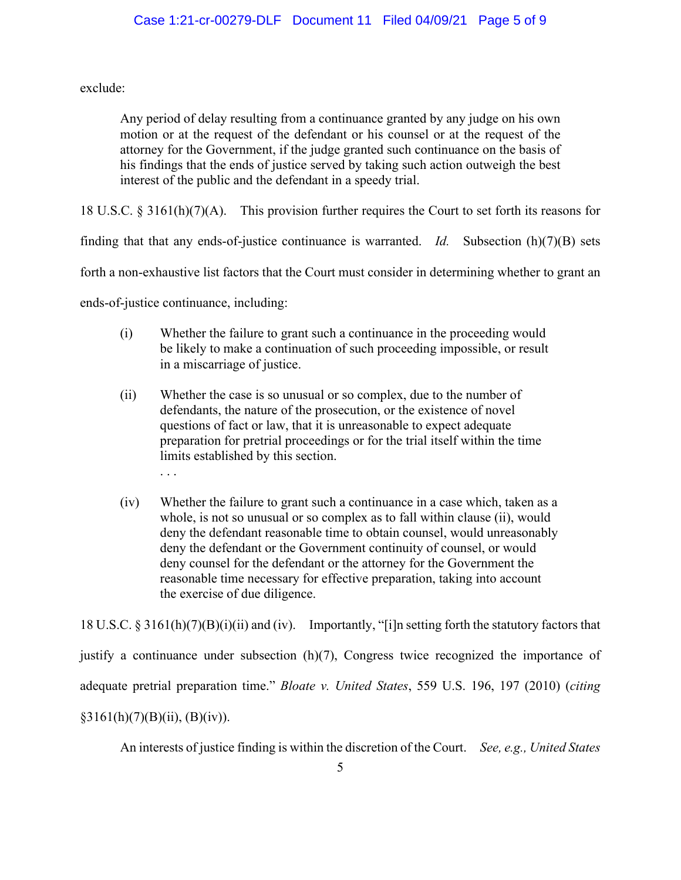exclude:

Any period of delay resulting from a continuance granted by any judge on his own motion or at the request of the defendant or his counsel or at the request of the attorney for the Government, if the judge granted such continuance on the basis of his findings that the ends of justice served by taking such action outweigh the best interest of the public and the defendant in a speedy trial.

18 U.S.C. § 3161(h)(7)(A). This provision further requires the Court to set forth its reasons for

finding that that any ends-of-justice continuance is warranted. *Id.* Subsection (h)(7)(B) sets

forth a non-exhaustive list factors that the Court must consider in determining whether to grant an

ends-of-justice continuance, including:

- (i) Whether the failure to grant such a continuance in the proceeding would be likely to make a continuation of such proceeding impossible, or result in a miscarriage of justice.
- (ii) Whether the case is so unusual or so complex, due to the number of defendants, the nature of the prosecution, or the existence of novel questions of fact or law, that it is unreasonable to expect adequate preparation for pretrial proceedings or for the trial itself within the time limits established by this section. . . .
- (iv) Whether the failure to grant such a continuance in a case which, taken as a whole, is not so unusual or so complex as to fall within clause (ii), would deny the defendant reasonable time to obtain counsel, would unreasonably deny the defendant or the Government continuity of counsel, or would deny counsel for the defendant or the attorney for the Government the reasonable time necessary for effective preparation, taking into account the exercise of due diligence.

18 U.S.C. § 3161(h)(7)(B)(i)(ii) and (iv). Importantly, "[i]n setting forth the statutory factors that

justify a continuance under subsection (h)(7), Congress twice recognized the importance of adequate pretrial preparation time." *Bloate v. United States*, 559 U.S. 196, 197 (2010) (*citing*  $§3161(h)(7)(B)(ii), (B)(iv)).$ 

An interests of justice finding is within the discretion of the Court. *See, e.g., United States*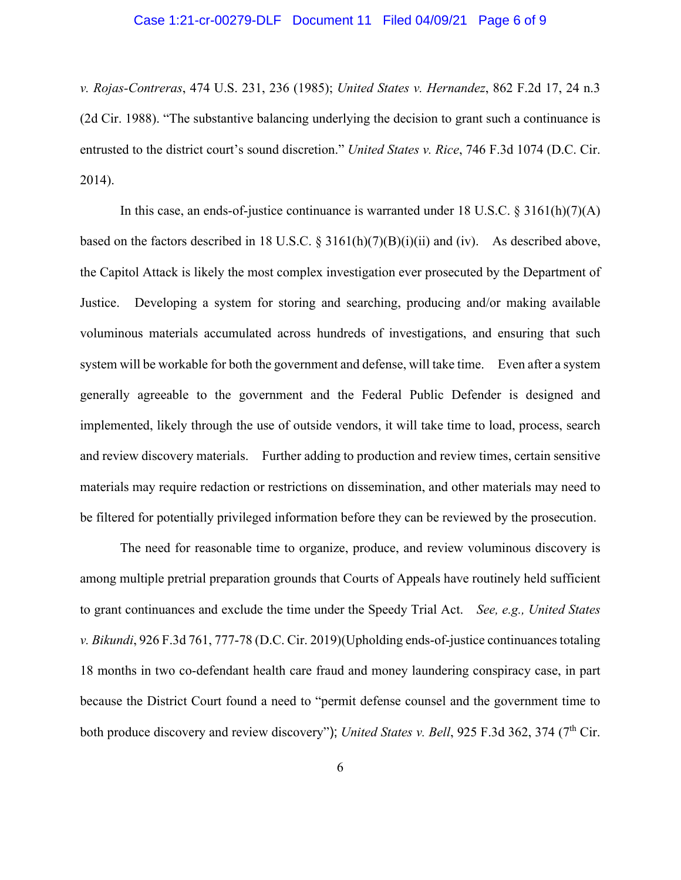#### Case 1:21-cr-00279-DLF Document 11 Filed 04/09/21 Page 6 of 9

*v. Rojas-Contreras*, 474 U.S. 231, 236 (1985); *United States v. Hernandez*, 862 F.2d 17, 24 n.3 (2d Cir. 1988). "The substantive balancing underlying the decision to grant such a continuance is entrusted to the district court's sound discretion." *United States v. Rice*, 746 F.3d 1074 (D.C. Cir. 2014).

In this case, an ends-of-justice continuance is warranted under 18 U.S.C.  $\S 3161(h)(7)(A)$ based on the factors described in 18 U.S.C. § 3161(h)(7)(B)(i)(ii) and (iv). As described above, the Capitol Attack is likely the most complex investigation ever prosecuted by the Department of Justice. Developing a system for storing and searching, producing and/or making available voluminous materials accumulated across hundreds of investigations, and ensuring that such system will be workable for both the government and defense, will take time. Even after a system generally agreeable to the government and the Federal Public Defender is designed and implemented, likely through the use of outside vendors, it will take time to load, process, search and review discovery materials. Further adding to production and review times, certain sensitive materials may require redaction or restrictions on dissemination, and other materials may need to be filtered for potentially privileged information before they can be reviewed by the prosecution.

The need for reasonable time to organize, produce, and review voluminous discovery is among multiple pretrial preparation grounds that Courts of Appeals have routinely held sufficient to grant continuances and exclude the time under the Speedy Trial Act. *See, e.g., United States v. Bikundi*, 926 F.3d 761, 777-78 (D.C. Cir. 2019)(Upholding ends-of-justice continuances totaling 18 months in two co-defendant health care fraud and money laundering conspiracy case, in part because the District Court found a need to "permit defense counsel and the government time to both produce discovery and review discovery"); *United States v. Bell*, 925 F.3d 362, 374 (7<sup>th</sup> Cir.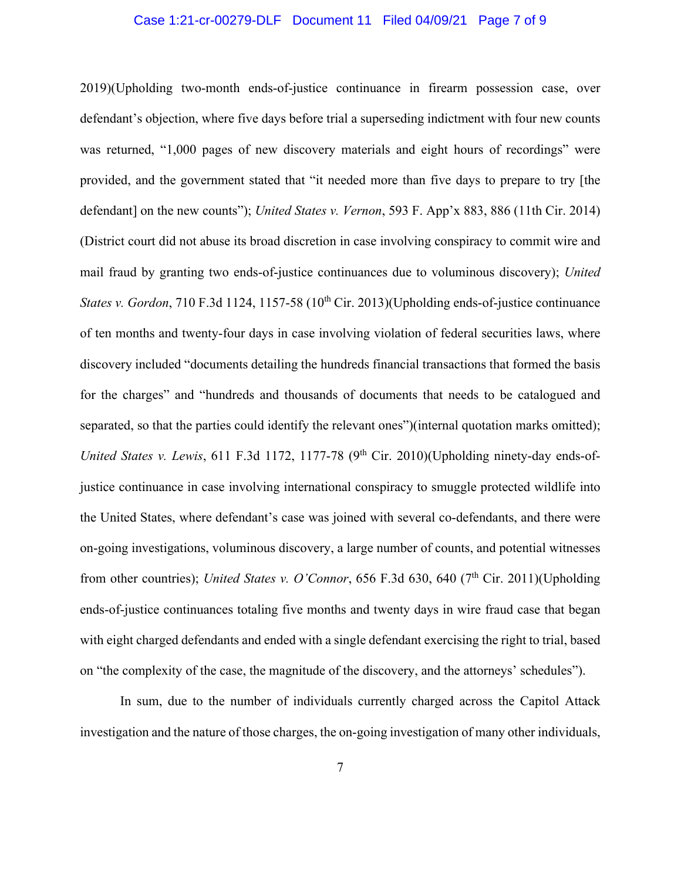#### Case 1:21-cr-00279-DLF Document 11 Filed 04/09/21 Page 7 of 9

2019)(Upholding two-month ends-of-justice continuance in firearm possession case, over defendant's objection, where five days before trial a superseding indictment with four new counts was returned, "1,000 pages of new discovery materials and eight hours of recordings" were provided, and the government stated that "it needed more than five days to prepare to try [the defendant] on the new counts"); *United States v. Vernon*, 593 F. App'x 883, 886 (11th Cir. 2014) (District court did not abuse its broad discretion in case involving conspiracy to commit wire and mail fraud by granting two ends-of-justice continuances due to voluminous discovery); *United States v. Gordon*, 710 F.3d 1124, 1157-58 (10<sup>th</sup> Cir. 2013)(Upholding ends-of-justice continuance of ten months and twenty-four days in case involving violation of federal securities laws, where discovery included "documents detailing the hundreds financial transactions that formed the basis for the charges" and "hundreds and thousands of documents that needs to be catalogued and separated, so that the parties could identify the relevant ones")(internal quotation marks omitted); *United States v. Lewis*, 611 F.3d 1172, 1177-78 (9<sup>th</sup> Cir. 2010)(Upholding ninety-day ends-ofjustice continuance in case involving international conspiracy to smuggle protected wildlife into the United States, where defendant's case was joined with several co-defendants, and there were on-going investigations, voluminous discovery, a large number of counts, and potential witnesses from other countries); *United States v. O'Connor*, 656 F.3d 630, 640 (7<sup>th</sup> Cir. 2011)(Upholding ends-of-justice continuances totaling five months and twenty days in wire fraud case that began with eight charged defendants and ended with a single defendant exercising the right to trial, based on "the complexity of the case, the magnitude of the discovery, and the attorneys' schedules").

In sum, due to the number of individuals currently charged across the Capitol Attack investigation and the nature of those charges, the on-going investigation of many other individuals,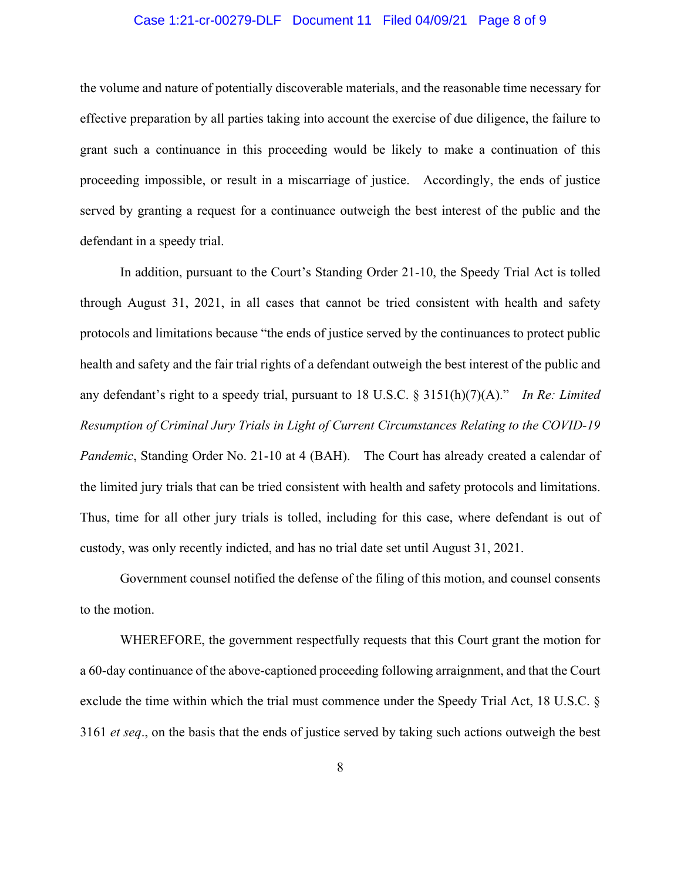#### Case 1:21-cr-00279-DLF Document 11 Filed 04/09/21 Page 8 of 9

the volume and nature of potentially discoverable materials, and the reasonable time necessary for effective preparation by all parties taking into account the exercise of due diligence, the failure to grant such a continuance in this proceeding would be likely to make a continuation of this proceeding impossible, or result in a miscarriage of justice. Accordingly, the ends of justice served by granting a request for a continuance outweigh the best interest of the public and the defendant in a speedy trial.

In addition, pursuant to the Court's Standing Order 21-10, the Speedy Trial Act is tolled through August 31, 2021, in all cases that cannot be tried consistent with health and safety protocols and limitations because "the ends of justice served by the continuances to protect public health and safety and the fair trial rights of a defendant outweigh the best interest of the public and any defendant's right to a speedy trial, pursuant to 18 U.S.C. § 3151(h)(7)(A)." *In Re: Limited Resumption of Criminal Jury Trials in Light of Current Circumstances Relating to the COVID-19 Pandemic*, Standing Order No. 21-10 at 4 (BAH). The Court has already created a calendar of the limited jury trials that can be tried consistent with health and safety protocols and limitations. Thus, time for all other jury trials is tolled, including for this case, where defendant is out of custody, was only recently indicted, and has no trial date set until August 31, 2021.

Government counsel notified the defense of the filing of this motion, and counsel consents to the motion.

WHEREFORE, the government respectfully requests that this Court grant the motion for a 60-day continuance of the above-captioned proceeding following arraignment, and that the Court exclude the time within which the trial must commence under the Speedy Trial Act, 18 U.S.C. § 3161 *et seq*., on the basis that the ends of justice served by taking such actions outweigh the best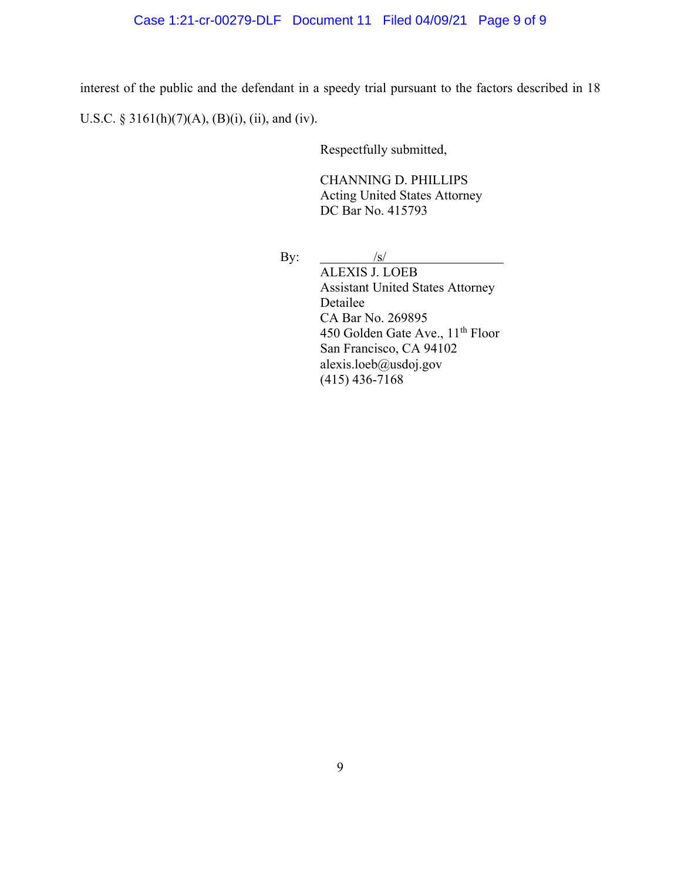# Case 1:21-cr-00279-DLF Document 11 Filed 04/09/21 Page 9 of 9

interest of the public and the defendant in a speedy trial pursuant to the factors described in 18 U.S.C. § 3161(h)(7)(A), (B)(i), (ii), and (iv).

Respectfully submitted,

CHANNING D. PHILLIPS Acting United States Attorney DC Bar No. 415793

By:  $/s/$ 

ALEXIS J. LOEB Assistant United States Attorney Detailee CA Bar No. 269895 450 Golden Gate Ave., 11<sup>th</sup> Floor San Francisco, CA 94102 alexis.loeb@usdoj.gov (415) 436-7168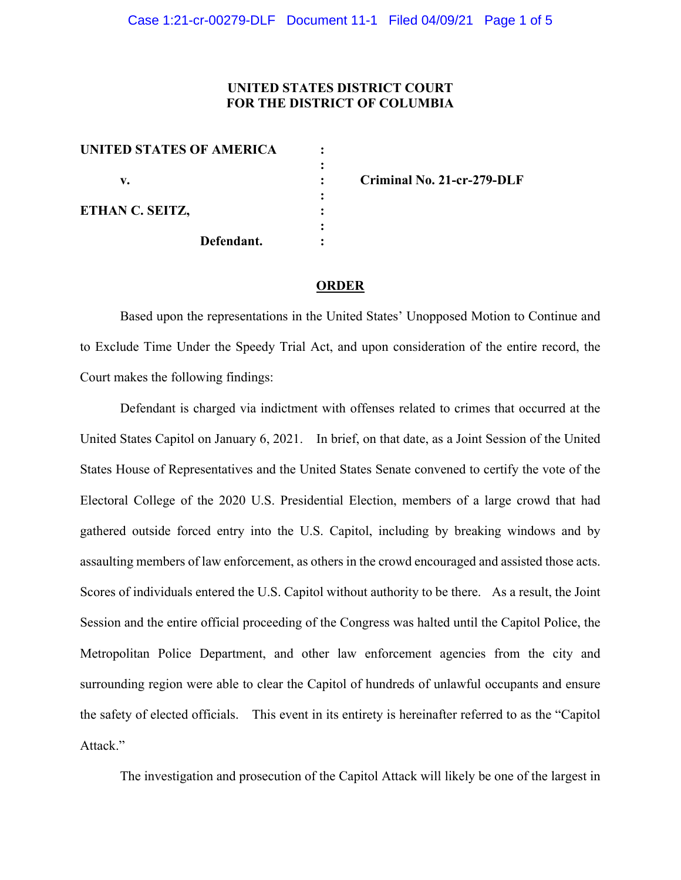# **UNITED STATES DISTRICT COURT FOR THE DISTRICT OF COLUMBIA**

| <b>UNITED STATES OF AMERICA</b> |            |  |
|---------------------------------|------------|--|
|                                 |            |  |
| v.                              |            |  |
|                                 |            |  |
| ETHAN C. SEITZ,                 |            |  |
|                                 |            |  |
|                                 | Defendant. |  |
|                                 |            |  |

**v. : Criminal No. 21-cr-279-DLF**

#### **ORDER**

Based upon the representations in the United States' Unopposed Motion to Continue and to Exclude Time Under the Speedy Trial Act, and upon consideration of the entire record, the Court makes the following findings:

Defendant is charged via indictment with offenses related to crimes that occurred at the United States Capitol on January 6, 2021. In brief, on that date, as a Joint Session of the United States House of Representatives and the United States Senate convened to certify the vote of the Electoral College of the 2020 U.S. Presidential Election, members of a large crowd that had gathered outside forced entry into the U.S. Capitol, including by breaking windows and by assaulting members of law enforcement, as others in the crowd encouraged and assisted those acts. Scores of individuals entered the U.S. Capitol without authority to be there. As a result, the Joint Session and the entire official proceeding of the Congress was halted until the Capitol Police, the Metropolitan Police Department, and other law enforcement agencies from the city and surrounding region were able to clear the Capitol of hundreds of unlawful occupants and ensure the safety of elected officials. This event in its entirety is hereinafter referred to as the "Capitol Attack."

The investigation and prosecution of the Capitol Attack will likely be one of the largest in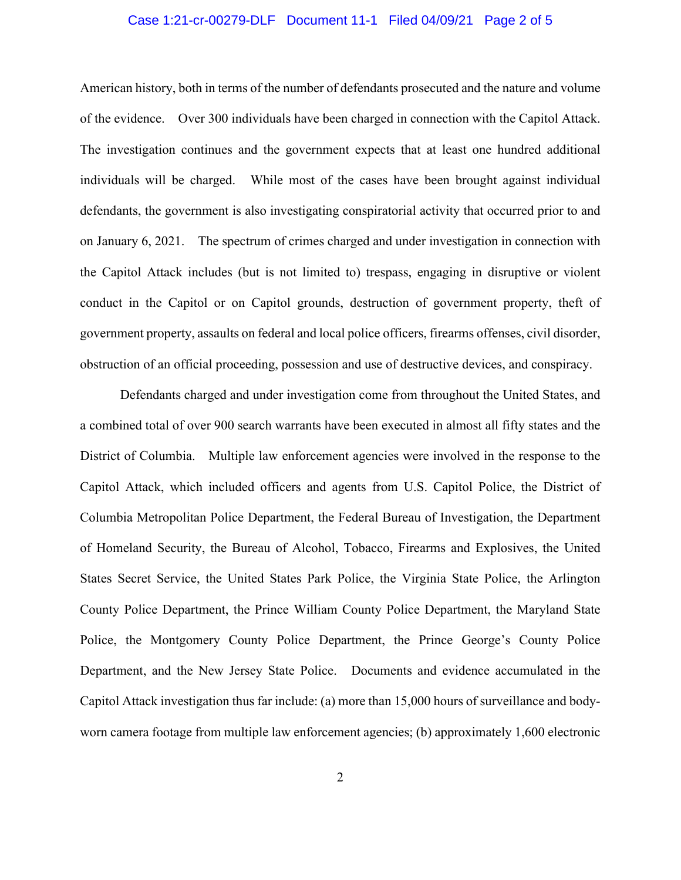## Case 1:21-cr-00279-DLF Document 11-1 Filed 04/09/21 Page 2 of 5

American history, both in terms of the number of defendants prosecuted and the nature and volume of the evidence. Over 300 individuals have been charged in connection with the Capitol Attack. The investigation continues and the government expects that at least one hundred additional individuals will be charged. While most of the cases have been brought against individual defendants, the government is also investigating conspiratorial activity that occurred prior to and on January 6, 2021. The spectrum of crimes charged and under investigation in connection with the Capitol Attack includes (but is not limited to) trespass, engaging in disruptive or violent conduct in the Capitol or on Capitol grounds, destruction of government property, theft of government property, assaults on federal and local police officers, firearms offenses, civil disorder, obstruction of an official proceeding, possession and use of destructive devices, and conspiracy.

Defendants charged and under investigation come from throughout the United States, and a combined total of over 900 search warrants have been executed in almost all fifty states and the District of Columbia. Multiple law enforcement agencies were involved in the response to the Capitol Attack, which included officers and agents from U.S. Capitol Police, the District of Columbia Metropolitan Police Department, the Federal Bureau of Investigation, the Department of Homeland Security, the Bureau of Alcohol, Tobacco, Firearms and Explosives, the United States Secret Service, the United States Park Police, the Virginia State Police, the Arlington County Police Department, the Prince William County Police Department, the Maryland State Police, the Montgomery County Police Department, the Prince George's County Police Department, and the New Jersey State Police. Documents and evidence accumulated in the Capitol Attack investigation thus far include: (a) more than 15,000 hours of surveillance and bodyworn camera footage from multiple law enforcement agencies; (b) approximately 1,600 electronic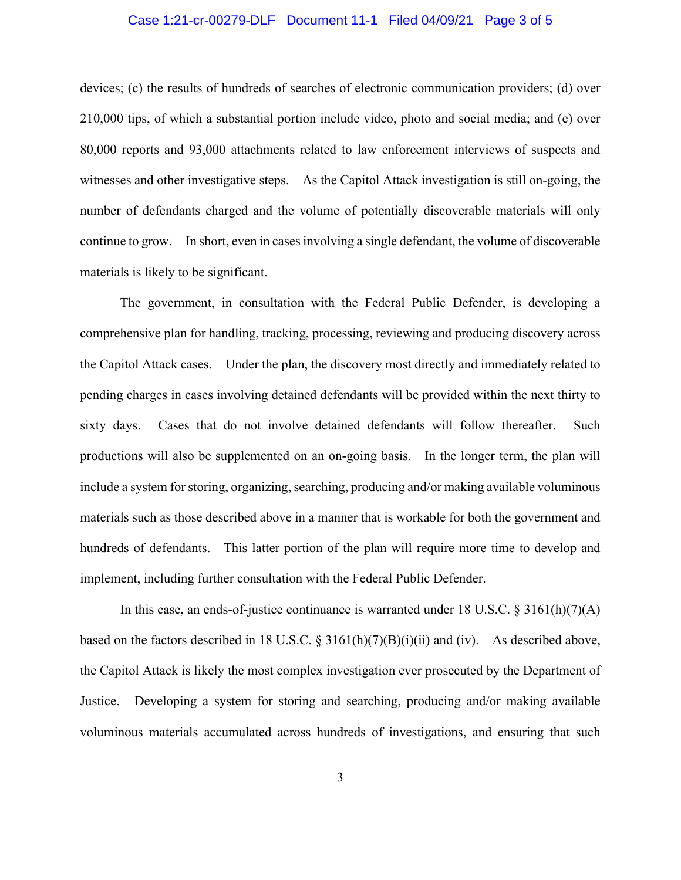## Case 1:21-cr-00279-DLF Document 11-1 Filed 04/09/21 Page 3 of 5

devices; (c) the results of hundreds of searches of electronic communication providers; (d) over 210,000 tips, of which a substantial portion include video, photo and social media; and (e) over 80,000 reports and 93,000 attachments related to law enforcement interviews of suspects and witnesses and other investigative steps. As the Capitol Attack investigation is still on-going, the number of defendants charged and the volume of potentially discoverable materials will only continue to grow. In short, even in cases involving a single defendant, the volume of discoverable materials is likely to be significant.

The government, in consultation with the Federal Public Defender, is developing a comprehensive plan for handling, tracking, processing, reviewing and producing discovery across the Capitol Attack cases. Under the plan, the discovery most directly and immediately related to pending charges in cases involving detained defendants will be provided within the next thirty to sixty days. Cases that do not involve detained defendants will follow thereafter. Such productions will also be supplemented on an on-going basis. In the longer term, the plan will include a system for storing, organizing, searching, producing and/or making available voluminous materials such as those described above in a manner that is workable for both the government and hundreds of defendants. This latter portion of the plan will require more time to develop and implement, including further consultation with the Federal Public Defender.

In this case, an ends-of-justice continuance is warranted under 18 U.S.C. § 3161(h)(7)(A) based on the factors described in 18 U.S.C.  $\S 3161(h)(7)(B)(i)(ii)$  and (iv). As described above, the Capitol Attack is likely the most complex investigation ever prosecuted by the Department of Justice. Developing a system for storing and searching, producing and/or making available voluminous materials accumulated across hundreds of investigations, and ensuring that such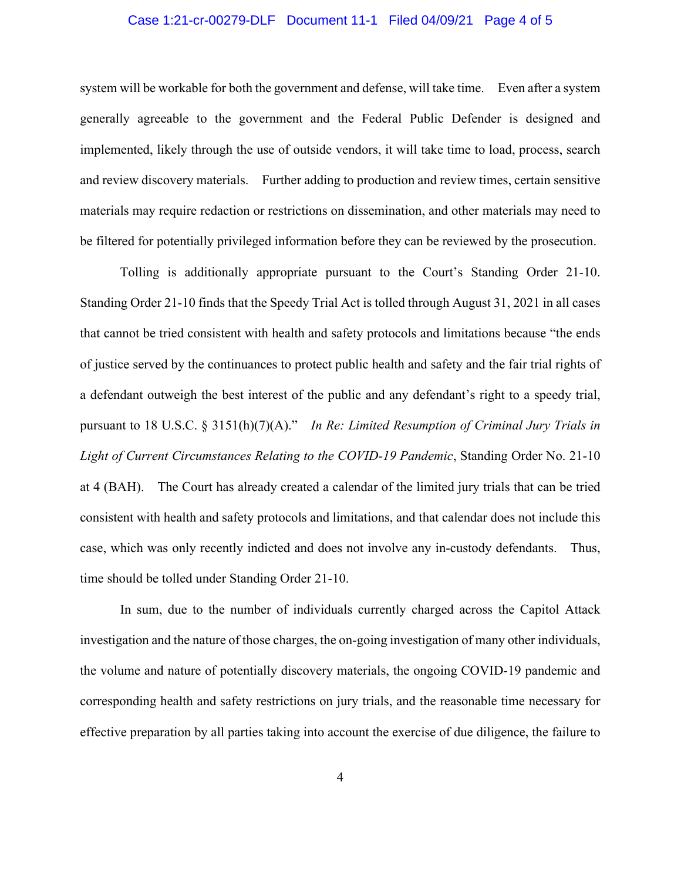## Case 1:21-cr-00279-DLF Document 11-1 Filed 04/09/21 Page 4 of 5

system will be workable for both the government and defense, will take time. Even after a system generally agreeable to the government and the Federal Public Defender is designed and implemented, likely through the use of outside vendors, it will take time to load, process, search and review discovery materials. Further adding to production and review times, certain sensitive materials may require redaction or restrictions on dissemination, and other materials may need to be filtered for potentially privileged information before they can be reviewed by the prosecution.

Tolling is additionally appropriate pursuant to the Court's Standing Order 21-10. Standing Order 21-10 finds that the Speedy Trial Act is tolled through August 31, 2021 in all cases that cannot be tried consistent with health and safety protocols and limitations because "the ends of justice served by the continuances to protect public health and safety and the fair trial rights of a defendant outweigh the best interest of the public and any defendant's right to a speedy trial, pursuant to 18 U.S.C. § 3151(h)(7)(A)." *In Re: Limited Resumption of Criminal Jury Trials in Light of Current Circumstances Relating to the COVID-19 Pandemic*, Standing Order No. 21-10 at 4 (BAH). The Court has already created a calendar of the limited jury trials that can be tried consistent with health and safety protocols and limitations, and that calendar does not include this case, which was only recently indicted and does not involve any in-custody defendants. Thus, time should be tolled under Standing Order 21-10.

In sum, due to the number of individuals currently charged across the Capitol Attack investigation and the nature of those charges, the on-going investigation of many other individuals, the volume and nature of potentially discovery materials, the ongoing COVID-19 pandemic and corresponding health and safety restrictions on jury trials, and the reasonable time necessary for effective preparation by all parties taking into account the exercise of due diligence, the failure to